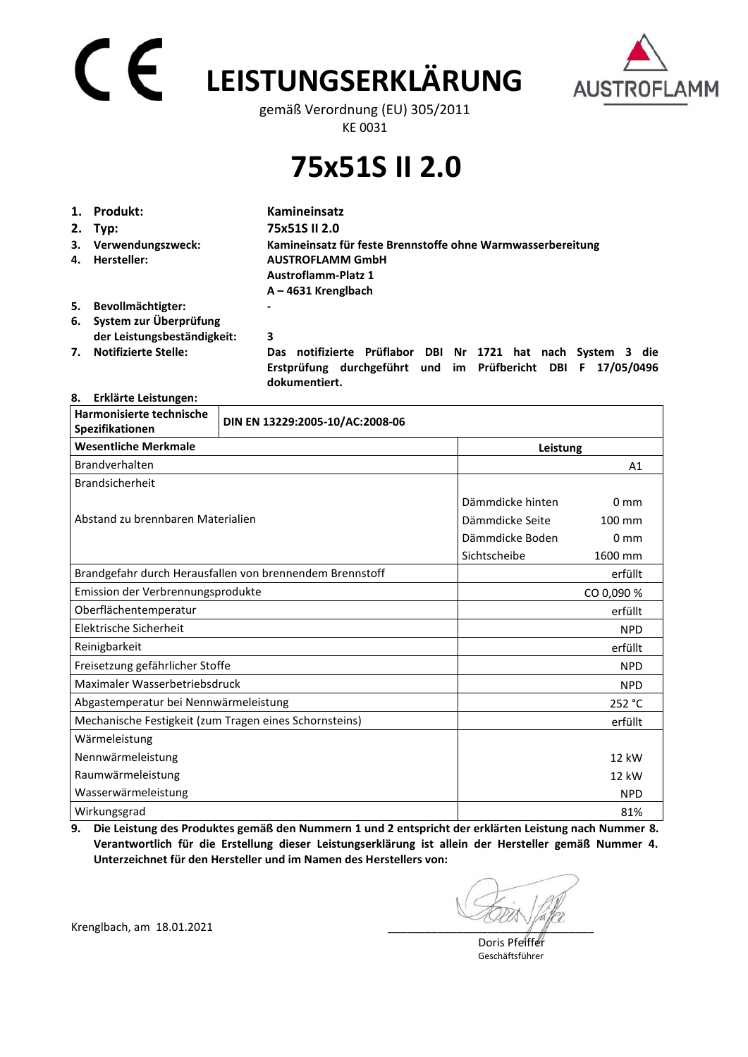## CE **LEISTUNGSERKLÄRUNG**



gemäß Verordnung (EU) 305/2011 KE 0031

## **75x51S II 2.0**

|    | 1. Produkt:                                              | <b>Kamineinsatz</b>                                                                                                                           |
|----|----------------------------------------------------------|-----------------------------------------------------------------------------------------------------------------------------------------------|
|    | 2. Typ:                                                  | 75x51S II 2.0                                                                                                                                 |
| 4. | 3. Verwendungszweck:<br>Hersteller:                      | Kamineinsatz für feste Brennstoffe ohne Warmwasserbereitung<br><b>AUSTROFLAMM GmbH</b><br><b>Austroflamm-Platz 1</b><br>$A - 4631$ Krenglbach |
| 5. | Bevollmächtigter:                                        |                                                                                                                                               |
|    | 6. System zur Überprüfung<br>der Leistungsbeständigkeit: | 3                                                                                                                                             |
| 7. | <b>Notifizierte Stelle:</b>                              | Das notifizierte Prüflabor DBI Nr 1721 hat nach System 3 die<br>Erstprüfung durchgeführt und im Prüfbericht DBI F 17/05/0496                  |

 **dokumentiert.** 

#### **8. Erklärte Leistungen:**

| Harmonisierte technische<br>Spezifikationen            | DIN EN 13229:2005-10/AC:2008-06                          |                  |                 |  |
|--------------------------------------------------------|----------------------------------------------------------|------------------|-----------------|--|
| <b>Wesentliche Merkmale</b>                            |                                                          |                  | Leistung        |  |
| Brandverhalten                                         |                                                          |                  | A1              |  |
| <b>Brandsicherheit</b>                                 |                                                          |                  |                 |  |
|                                                        |                                                          | Dämmdicke hinten | 0 <sub>mm</sub> |  |
| Abstand zu brennbaren Materialien                      |                                                          | Dämmdicke Seite  | 100 mm          |  |
|                                                        |                                                          | Dämmdicke Boden  | 0 <sub>mm</sub> |  |
|                                                        |                                                          | Sichtscheibe     | 1600 mm         |  |
|                                                        | Brandgefahr durch Herausfallen von brennendem Brennstoff |                  | erfüllt         |  |
| Emission der Verbrennungsprodukte                      |                                                          |                  | CO 0,090 %      |  |
| Oberflächentemperatur                                  |                                                          |                  | erfüllt         |  |
| Elektrische Sicherheit                                 |                                                          |                  | <b>NPD</b>      |  |
| Reinigbarkeit                                          |                                                          |                  | erfüllt         |  |
| Freisetzung gefährlicher Stoffe                        |                                                          |                  | <b>NPD</b>      |  |
| Maximaler Wasserbetriebsdruck                          |                                                          |                  | <b>NPD</b>      |  |
| Abgastemperatur bei Nennwärmeleistung                  |                                                          |                  | 252 °C          |  |
| Mechanische Festigkeit (zum Tragen eines Schornsteins) |                                                          |                  | erfüllt         |  |
| Wärmeleistung                                          |                                                          |                  |                 |  |
| Nennwärmeleistung                                      |                                                          |                  | 12 kW           |  |
| Raumwärmeleistung                                      |                                                          |                  | 12 kW           |  |
| Wasserwärmeleistung                                    |                                                          |                  | <b>NPD</b>      |  |
| Wirkungsgrad                                           |                                                          |                  | 81%             |  |

**9. Die Leistung des Produktes gemäß den Nummern 1 und 2 entspricht der erklärten Leistung nach Nummer 8. Verantwortlich für die Erstellung dieser Leistungserklärung ist allein der Hersteller gemäß Nummer 4. Unterzeichnet für den Hersteller und im Namen des Herstellers von:** 

Krenglbach, am 18.01.2021

 Doris Pfeiffer Geschäftsführer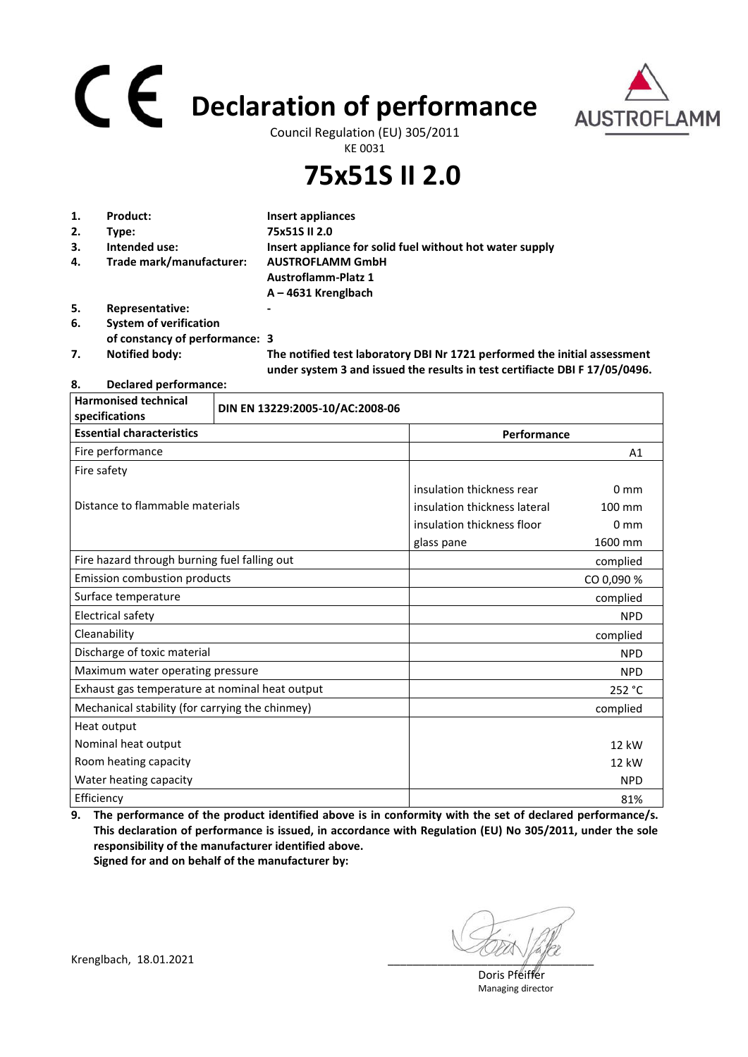# **Declaration of performance**



Council Regulation (EU) 305/2011 KE 0031

### **75x51S II 2.0**

| 1. | Product:                       | Insert appliances                                                                                                                                        |
|----|--------------------------------|----------------------------------------------------------------------------------------------------------------------------------------------------------|
| 2. | Type:                          | 75x51S II 2.0                                                                                                                                            |
| 3. | Intended use:                  | Insert appliance for solid fuel without hot water supply                                                                                                 |
| 4. | Trade mark/manufacturer:       | <b>AUSTROFLAMM GmbH</b>                                                                                                                                  |
|    |                                | <b>Austroflamm-Platz 1</b>                                                                                                                               |
|    |                                | $A - 4631$ Krenglbach                                                                                                                                    |
| 5. | Representative:                |                                                                                                                                                          |
| 6. | <b>System of verification</b>  |                                                                                                                                                          |
|    | of constancy of performance: 3 |                                                                                                                                                          |
| 7. | <b>Notified body:</b>          | The notified test laboratory DBI Nr 1721 performed the initial assessment<br>under system 3 and issued the results in test certifiacte DBI F 17/05/0496. |

#### **8. Declared performance:**

| <b>Harmonised technical</b><br>specifications   | DIN EN 13229:2005-10/AC:2008-06 |                              |                 |
|-------------------------------------------------|---------------------------------|------------------------------|-----------------|
| <b>Essential characteristics</b><br>Performance |                                 |                              |                 |
| Fire performance                                |                                 |                              | A1              |
| Fire safety                                     |                                 |                              |                 |
|                                                 |                                 | insulation thickness rear    | $0 \text{ mm}$  |
| Distance to flammable materials                 |                                 | insulation thickness lateral | 100 mm          |
|                                                 |                                 | insulation thickness floor   | 0 <sub>mm</sub> |
|                                                 |                                 | glass pane                   | 1600 mm         |
| Fire hazard through burning fuel falling out    |                                 |                              | complied        |
| <b>Emission combustion products</b>             |                                 |                              | CO 0,090 %      |
| Surface temperature                             |                                 |                              | complied        |
| Electrical safety                               |                                 |                              | <b>NPD</b>      |
| Cleanability                                    |                                 |                              | complied        |
| Discharge of toxic material                     |                                 |                              | <b>NPD</b>      |
| Maximum water operating pressure                |                                 |                              | <b>NPD</b>      |
| Exhaust gas temperature at nominal heat output  |                                 |                              | 252 °C          |
| Mechanical stability (for carrying the chinmey) |                                 |                              | complied        |
| Heat output                                     |                                 |                              |                 |
| Nominal heat output                             |                                 |                              | 12 kW           |
| Room heating capacity                           |                                 |                              | 12 kW           |
| Water heating capacity                          |                                 |                              | <b>NPD</b>      |
| Efficiency                                      |                                 |                              | 81%             |

**9. The performance of the product identified above is in conformity with the set of declared performance/s. This declaration of performance is issued, in accordance with Regulation (EU) No 305/2011, under the sole responsibility of the manufacturer identified above. Signed for and on behalf of the manufacturer by:**

 Doris Pfeiffer Managing director

Krenglbach, 18.01.2021